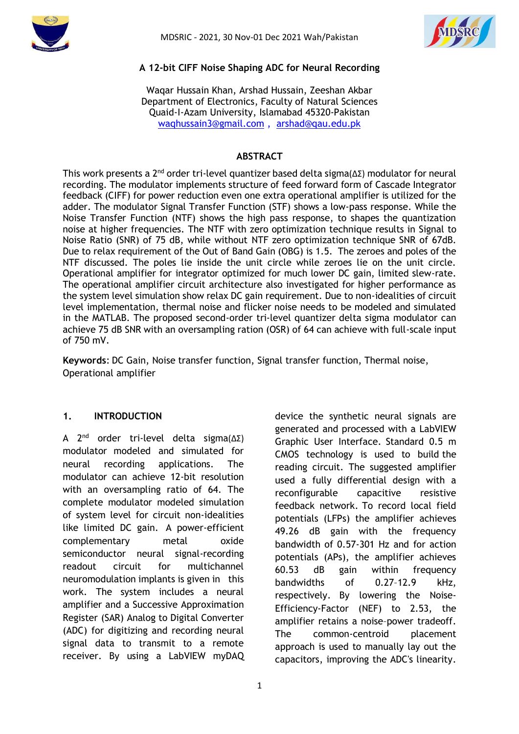



#### **A 12-bit CIFF Noise Shaping ADC for Neural Recording**

Waqar Hussain Khan, Arshad Hussain, Zeeshan Akbar Department of Electronics, Faculty of Natural Sciences Quaid-I-Azam University, Islamabad 45320-Pakistan [waqhussain3@gmail.com](mailto:waqhussain3@gmail.com) , [arshad@qau.edu.pk](mailto:arshad@qau.edu.pk)

#### **ABSTRACT**

This work presents a 2<sup>nd</sup> order tri-level quantizer based delta sigma(ΔΣ) modulator for neural recording. The modulator implements structure of feed forward form of Cascade Integrator feedback (CIFF) for power reduction even one extra operational amplifier is utilized for the adder. The modulator Signal Transfer Function (STF) shows a low-pass response. While the Noise Transfer Function (NTF) shows the high pass response, to shapes the quantization noise at higher frequencies. The NTF with zero optimization technique results in Signal to Noise Ratio (SNR) of 75 dB, while without NTF zero optimization technique SNR of 67dB. Due to relax requirement of the Out of Band Gain (OBG) is 1.5. The zeroes and poles of the NTF discussed. The poles lie inside the unit circle while zeroes lie on the unit circle. Operational amplifier for integrator optimized for much lower DC gain, limited slew-rate. The operational amplifier circuit architecture also investigated for higher performance as the system level simulation show relax DC gain requirement. Due to non-idealities of circuit level implementation, thermal noise and flicker noise needs to be modeled and simulated in the MATLAB. The proposed second-order tri-level quantizer delta sigma modulator can achieve 75 dB SNR with an oversampling ration (OSR) of 64 can achieve with full-scale input of 750 mV.

**Keywords**: DC Gain, Noise transfer function, Signal transfer function, Thermal noise, Operational amplifier

#### **1. INTRODUCTION**

A 2 nd order tri-level delta sigma(∆Σ) modulator modeled and simulated for neural recording applications. The modulator can achieve 12-bit resolution with an oversampling ratio of 64. The complete modulator modeled simulation of system level for circuit non-idealities like limited DC gain. A power-efficient complementary metal oxide semiconductor neural signal-recording readout circuit for multichannel neuromodulation implants is given in this work. The system includes a neural amplifier and a Successive Approximation Register (SAR) Analog to Digital Converter (ADC) for digitizing and recording neural signal data to transmit to a remote receiver. By using a LabVIEW myDAQ device the synthetic neural signals are generated and processed with a LabVIEW Graphic User Interface. Standard 0.5 m CMOS technology is used to build the reading circuit. The suggested amplifier used a fully differential design with a reconfigurable capacitive resistive feedback network. To record local field potentials (LFPs) the amplifier achieves 49.26 dB gain with the frequency bandwidth of 0.57-301 Hz and for action potentials (APs), the amplifier achieves 60.53 dB gain within frequency bandwidths of 0.27–12.9 kHz, respectively. By lowering the Noise-Efficiency-Factor (NEF) to 2.53, the amplifier retains a noise–power tradeoff. The common-centroid placement approach is used to manually lay out the capacitors, improving the ADC's linearity.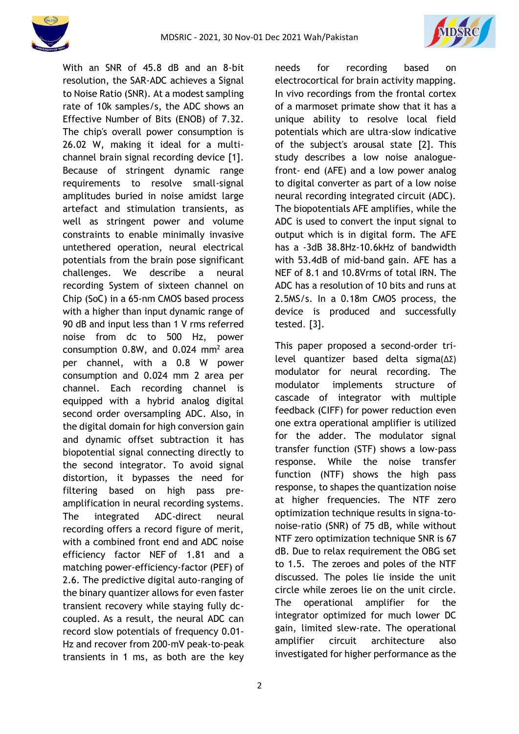



With an SNR of 45.8 dB and an 8-bit resolution, the SAR-ADC achieves a Signal to Noise Ratio (SNR). At a modest sampling rate of 10k samples/s, the ADC shows an Effective Number of Bits (ENOB) of 7.32. The chip's overall power consumption is 26.02 W, making it ideal for a multichannel brain signal recording device [1]. Because of stringent dynamic range requirements to resolve small-signal amplitudes buried in noise amidst large artefact and stimulation transients, as well as stringent power and volume constraints to enable minimally invasive untethered operation, neural electrical potentials from the brain pose significant challenges. We describe a neural recording System of sixteen channel on Chip (SoC) in a 65-nm CMOS based process with a higher than input dynamic range of 90 dB and input less than 1 V rms referred noise from dc to 500 Hz, power consumption  $0.8W$ , and  $0.024$  mm<sup>2</sup> area per channel, with a 0.8 W power consumption and 0.024 mm 2 area per channel. Each recording channel is equipped with a hybrid analog digital second order oversampling ADC. Also, in the digital domain for high conversion gain and dynamic offset subtraction it has biopotential signal connecting directly to the second integrator. To avoid signal distortion, it bypasses the need for filtering based on high pass preamplification in neural recording systems. The integrated ADC-direct neural recording offers a record figure of merit, with a combined front end and ADC noise efficiency factor NEF of 1.81 and a matching power-efficiency-factor (PEF) of 2.6. The predictive digital auto-ranging of the binary quantizer allows for even faster transient recovery while staying fully dccoupled. As a result, the neural ADC can record slow potentials of frequency 0.01- Hz and recover from 200-mV peak-to-peak transients in 1 ms, as both are the key needs for recording based on electrocortical for brain activity mapping. In vivo recordings from the frontal cortex of a marmoset primate show that it has a unique ability to resolve local field potentials which are ultra-slow indicative of the subject's arousal state [2]. This study describes a low noise analoguefront- end (AFE) and a low power analog to digital converter as part of a low noise neural recording integrated circuit (ADC). The biopotentials AFE amplifies, while the ADC is used to convert the input signal to output which is in digital form. The AFE has a -3dB 38.8Hz-10.6kHz of bandwidth with 53.4dB of mid-band gain. AFE has a NEF of 8.1 and 10.8Vrms of total IRN. The ADC has a resolution of 10 bits and runs at 2.5MS/s. In a 0.18m CMOS process, the device is produced and successfully tested. [3].

This paper proposed a second-order trilevel quantizer based delta sigma(∆Σ) modulator for neural recording. The modulator implements structure of cascade of integrator with multiple feedback (CIFF) for power reduction even one extra operational amplifier is utilized for the adder. The modulator signal transfer function (STF) shows a low-pass response. While the noise transfer function (NTF) shows the high pass response, to shapes the quantization noise at higher frequencies. The NTF zero optimization technique results in signa-tonoise-ratio (SNR) of 75 dB, while without NTF zero optimization technique SNR is 67 dB. Due to relax requirement the OBG set to 1.5. The zeroes and poles of the NTF discussed. The poles lie inside the unit circle while zeroes lie on the unit circle. The operational amplifier for the integrator optimized for much lower DC gain, limited slew-rate. The operational amplifier circuit architecture also investigated for higher performance as the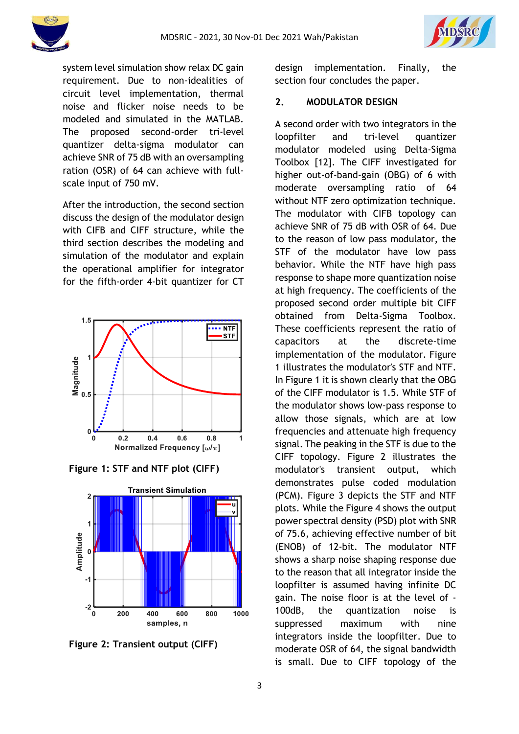



system level simulation show relax DC gain requirement. Due to non-idealities of circuit level implementation, thermal noise and flicker noise needs to be modeled and simulated in the MATLAB. The proposed second-order tri-level quantizer delta-sigma modulator can achieve SNR of 75 dB with an oversampling ration (OSR) of 64 can achieve with fullscale input of 750 mV.

After the introduction, the second section discuss the design of the modulator design with CIFB and CIFF structure, while the third section describes the modeling and simulation of the modulator and explain the operational amplifier for integrator for the fifth-order 4-bit quantizer for CT



**Figure 1: STF and NTF plot (CIFF)**



**Figure 2: Transient output (CIFF)**

design implementation. Finally, the section four concludes the paper.

### **2. MODULATOR DESIGN**

A second order with two integrators in the loopfilter and tri-level quantizer modulator modeled using Delta-Sigma Toolbox [12]. The CIFF investigated for higher out-of-band-gain (OBG) of 6 with moderate oversampling ratio of 64 without NTF zero optimization technique. The modulator with CIFB topology can achieve SNR of 75 dB with OSR of 64. Due to the reason of low pass modulator, the STF of the modulator have low pass behavior. While the NTF have high pass response to shape more quantization noise at high frequency. The coefficients of the proposed second order multiple bit CIFF obtained from Delta-Sigma Toolbox. These coefficients represent the ratio of capacitors at the discrete-time implementation of the modulator. Figure 1 illustrates the modulator's STF and NTF. In Figure 1 it is shown clearly that the OBG of the CIFF modulator is 1.5. While STF of the modulator shows low-pass response to allow those signals, which are at low frequencies and attenuate high frequency signal. The peaking in the STF is due to the CIFF topology. Figure 2 illustrates the modulator's transient output, which demonstrates pulse coded modulation (PCM). Figure 3 depicts the STF and NTF plots. While the Figure 4 shows the output power spectral density (PSD) plot with SNR of 75.6, achieving effective number of bit (ENOB) of 12-bit. The modulator NTF shows a sharp noise shaping response due to the reason that all integrator inside the loopfilter is assumed having infinite DC gain. The noise floor is at the level of - 100dB, the quantization noise is suppressed maximum with nine integrators inside the loopfilter. Due to moderate OSR of 64, the signal bandwidth is small. Due to CIFF topology of the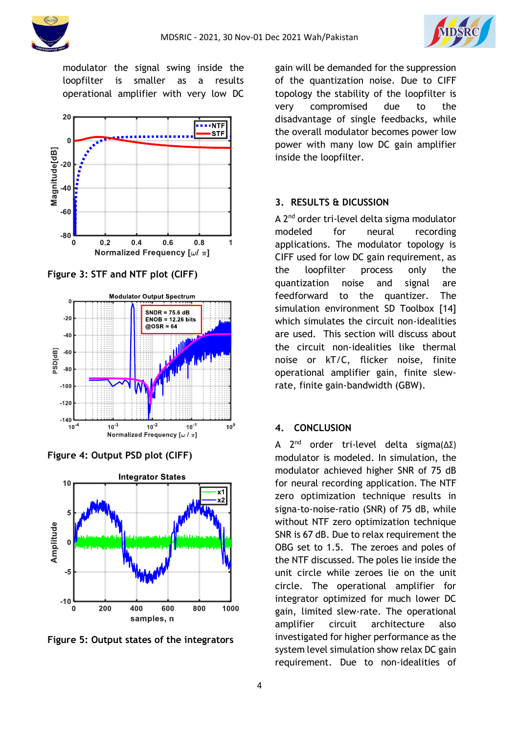



modulator the signal swing inside the loopfilter is smaller as a results operational amplifier with very low DC



**Figure 3: STF and NTF plot (CIFF)**



**Figure 4: Output PSD plot (CIFF)**



**Figure 5: Output states of the integrators**

gain will be demanded for the suppression of the quantization noise. Due to CIFF topology the stability of the loopfilter is very compromised due to the disadvantage of single feedbacks, while the overall modulator becomes power low power with many low DC gain amplifier inside the loopfilter.

### **3. RESULTS & DICUSSION**

A 2<sup>nd</sup> order tri-level delta sigma modulator modeled for neural recording applications. The modulator topology is CIFF used for low DC gain requirement, as the loopfilter process only the quantization noise and signal are feedforward to the quantizer. The simulation environment SD Toolbox [14] which simulates the circuit non-idealities are used. This section will discuss about the circuit non-idealities like thermal noise or kT/C, flicker noise, finite operational amplifier gain, finite slewrate, finite gain-bandwidth (GBW).

### **4. CONCLUSION**

A 2 nd order tri-level delta sigma(∆Σ) modulator is modeled. In simulation, the modulator achieved higher SNR of 75 dB for neural recording application. The NTF zero optimization technique results in signa-to-noise-ratio (SNR) of 75 dB, while without NTF zero optimization technique SNR is 67 dB. Due to relax requirement the OBG set to 1.5. The zeroes and poles of the NTF discussed. The poles lie inside the unit circle while zeroes lie on the unit circle. The operational amplifier for integrator optimized for much lower DC gain, limited slew-rate. The operational amplifier circuit architecture also investigated for higher performance as the system level simulation show relax DC gain requirement. Due to non-idealities of